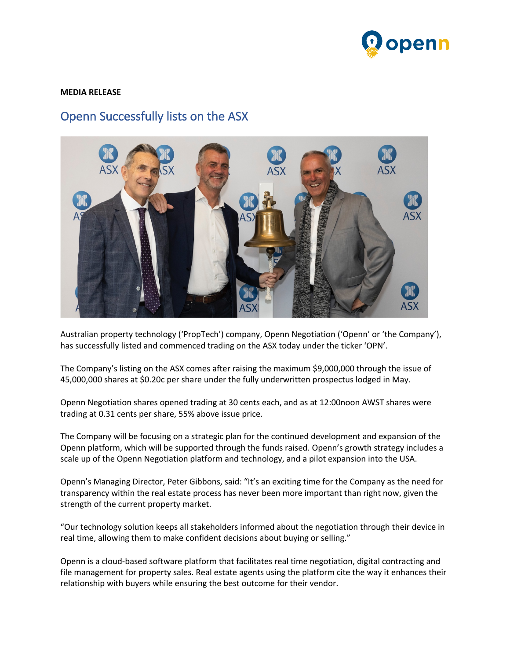

## **MEDIA RELEASE**

## Openn Successfully lists on the ASX



Australian property technology ('PropTech') company, Openn Negotiation ('Openn' or 'the Company'), has successfully listed and commenced trading on the ASX today under the ticker 'OPN'.

The Company's listing on the ASX comes after raising the maximum \$9,000,000 through the issue of 45,000,000 shares at \$0.20c per share under the fully underwritten prospectus lodged in May.

Openn Negotiation shares opened trading at 30 cents each, and as at 12:00noon AWST shares were trading at 0.31 cents per share, 55% above issue price.

The Company will be focusing on a strategic plan for the continued development and expansion of the Openn platform, which will be supported through the funds raised. Openn's growth strategy includes a scale up of the Openn Negotiation platform and technology, and a pilot expansion into the USA.

Openn's Managing Director, Peter Gibbons, said: "It's an exciting time for the Company as the need for transparency within the real estate process has never been more important than right now, given the strength of the current property market.

"Our technology solution keeps all stakeholders informed about the negotiation through their device in real time, allowing them to make confident decisions about buying or selling."

Openn is a cloud-based software platform that facilitates real time negotiation, digital contracting and file management for property sales. Real estate agents using the platform cite the way it enhances their relationship with buyers while ensuring the best outcome for their vendor.